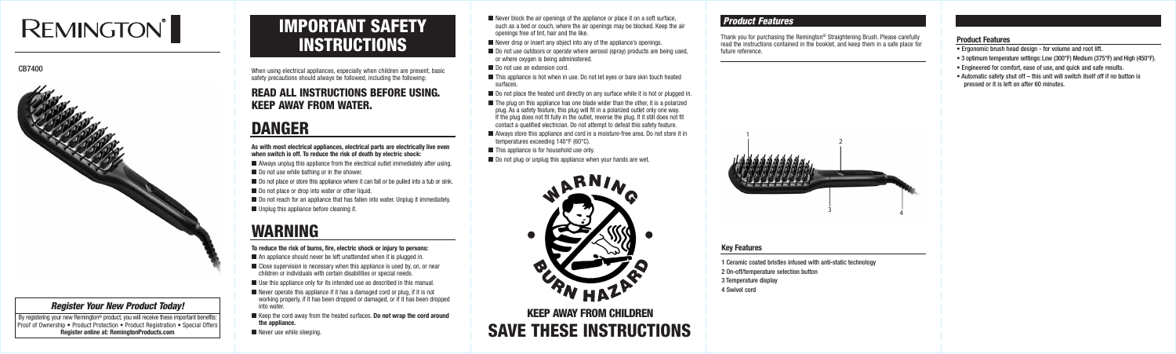When using electrical appliances, especially when children are present, basic safety precautions should always be followed, including the following:

### READ ALL INSTRUCTIONS BEFORE USING. KEEP AWAY FROM WATER.

## DANGER

#### **As with most electrical appliances, electrical parts are electrically live even when switch is off. To reduce the risk of death by electric shock:**

- $\blacksquare$  Always unplug this appliance from the electrical outlet immediately after using.
- Do not use while bathing or in the shower.
- Do not place or store this appliance where it can fall or be pulled into a tub or sink.
- Do not place or drop into water or other liquid.
- Do not reach for an appliance that has fallen into water. Unplug it immediately.
- Unplug this appliance before cleaning it.

- $\blacksquare$  An appliance should never be left unattended when it is plugged in.
- Close supervision is necessary when this appliance is used by, on, or near children or individuals with certain disabilities or special needs.
- Use this appliance only for its intended use as described in this manual.
- $\blacksquare$  Never operate this appliance if it has a damaged cord or plug, if it is not working properly, if it has been dropped or damaged, or if it has been dropped into water.
- Keep the cord away from the heated surfaces. **Do not wrap the cord around the appliance.**
- 
- $\blacksquare$  Never block the air openings of the appliance or place it on a soft surface, such as a bed or couch, where the air openings may be blocked. Keep the air openings free of lint, hair and the like.
- Never drop or insert any object into any of the appliance's openings.
- Do not use outdoors or operate where aerosol (spray) products are being used, or where oxygen is being administered.
- Do not use an extension cord.
- This appliance is hot when in use. Do not let eyes or bare skin touch heated surfaces.
- Do not place the heated unit directly on any surface while it is hot or plugged in.
- $\blacksquare$  The plug on this appliance has one blade wider than the other, it is a polarized plug. As a safety feature, this plug will fit in a polarized outlet only one way. If the plug does not fit fully in the outlet, reverse the plug. If it still does not fit contact a qualified electrician. Do not attempt to defeat this safety feature.
- Always store this appliance and cord in a moisture-free area. Do not store it in temperatures exceeding 140°F (60°C).
- This appliance is for household use only.
- $\blacksquare$  Do not plug or unplug this appliance when your hands are wet.



## IMPORTANT SAFETY **INSTRUCTIONS**

## WARNING

#### **To reduce the risk of burns, fire, electric shock or injury to persons:**

### **Experiment Seeping.** SAVE THESE INSTRUCTIONS KEEP AWAY FROM CHILDREN

By registering your new Remington® product, you will receive these important benefits: Proof of Ownership • Product Protection • Product Registration • Special Offers **Register online at: RemingtonProducts.com**

### *Product Features*

#### **Key Features**

- 1 Ceramic coated bristles infused with anti-static technology
- 2 On-off/temperature selection button
- 3 Temperature display
- 4 Swivel cord

#### **Product Features**

- Ergonomic brush head design for volume and root lift.
- 3 optimum temperature settings: Low (300°F) Medium (375°F) and High (450°F).
- Engineered for comfort, ease of use, and quick and safe results.
- Automatic safety shut off this unit will switch itself off if no button is pressed or it is left on after 60 minutes.

Thank you for purchasing the Remington® Straightening Brush. Please carefully read the instructions contained in the booklet, and keep them in a safe place for future reference.

# **REMINGTON®**

CB7400



#### *Register Your New Product Today!*